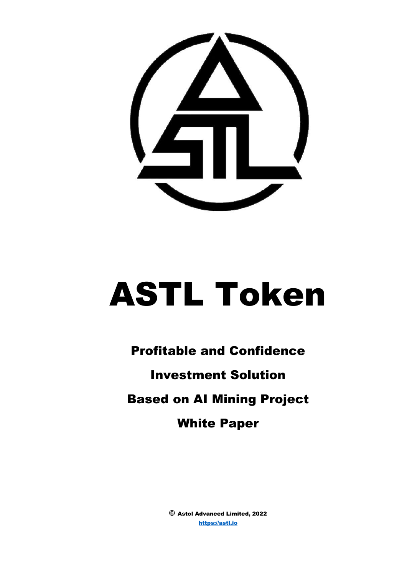

# ASTL Token

# Profitable and Confidence Investment Solution Based on AI Mining Project White Paper

© Astol Advanced Limited, 2022 [https://astl.io](https://astl.io/)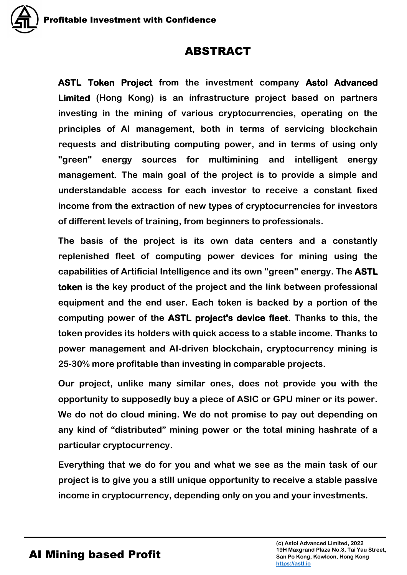# ABSTRACT

**ASTL Token Project from the investment company Astol Advanced Limited (Hong Kong) is an infrastructure project based on partners investing in the mining of various cryptocurrencies, operating on the principles of AI management, both in terms of servicing blockchain requests and distributing computing power, and in terms of using only "green" energy sources for multimining and intelligent energy management. The main goal of the project is to provide a simple and understandable access for each investor to receive a constant fixed income from the extraction of new types of cryptocurrencies for investors of different levels of training, from beginners to professionals.** 

**The basis of the project is its own data centers and a constantly replenished fleet of computing power devices for mining using the capabilities of Artificial Intelligence and its own "green" energy. The ASTL token is the key product of the project and the link between professional equipment and the end user. Each token is backed by a portion of the computing power of the ASTL project's device fleet. Thanks to this, the token provides its holders with quick access to a stable income. Thanks to power management and AI-driven blockchain, cryptocurrency mining is 25-30% more profitable than investing in comparable projects.**

**Our project, unlike many similar ones, does not provide you with the opportunity to supposedly buy a piece of ASIC or GPU miner or its power. We do not do cloud mining. We do not promise to pay out depending on any kind of "distributed" mining power or the total mining hashrate of a particular cryptocurrency.** 

**Everything that we do for you and what we see as the main task of our project is to give you a still unique opportunity to receive a stable passive income in cryptocurrency, depending only on you and your investments.**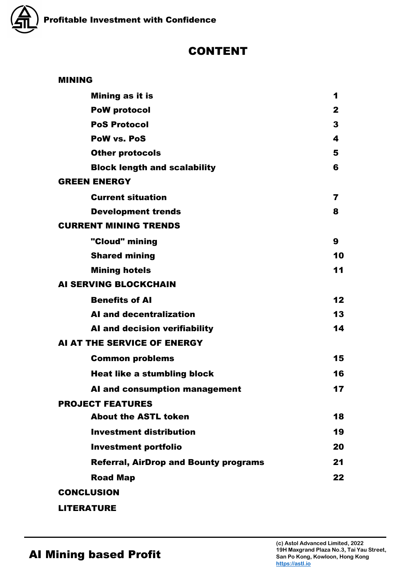

# CONTENT

| <b>MINING</b>       |                                              |              |
|---------------------|----------------------------------------------|--------------|
|                     | Mining as it is                              | 1            |
|                     | <b>PoW protocol</b>                          | $\mathbf{2}$ |
|                     | <b>PoS Protocol</b>                          | 3            |
|                     | <b>PoW vs. PoS</b>                           | 4            |
|                     | <b>Other protocols</b>                       | 5            |
|                     | <b>Block length and scalability</b>          | 6            |
| <b>GREEN ENERGY</b> |                                              |              |
|                     | <b>Current situation</b>                     | 7            |
|                     | <b>Development trends</b>                    | 8            |
|                     | <b>CURRENT MINING TRENDS</b>                 |              |
|                     | "Cloud" mining                               | 9            |
|                     | <b>Shared mining</b>                         | 10           |
|                     | <b>Mining hotels</b>                         | 11           |
|                     | <b>AI SERVING BLOCKCHAIN</b>                 |              |
|                     | <b>Benefits of Al</b>                        | 12           |
|                     | <b>AI and decentralization</b>               | 13           |
|                     | Al and decision verifiability                | 14           |
|                     | AI AT THE SERVICE OF ENERGY                  |              |
|                     | <b>Common problems</b>                       | 15           |
|                     | <b>Heat like a stumbling block</b>           | 16           |
|                     | AI and consumption management                | 17           |
|                     | <b>PROJECT FEATURES</b>                      |              |
|                     | <b>About the ASTL token</b>                  | 18           |
|                     | <b>Investment distribution</b>               | 19           |
|                     | <b>Investment portfolio</b>                  | 20           |
|                     | <b>Referral, AirDrop and Bounty programs</b> | 21           |
|                     | <b>Road Map</b>                              | 22           |
| <b>CONCLUSION</b>   |                                              |              |
| <b>LITERATURE</b>   |                                              |              |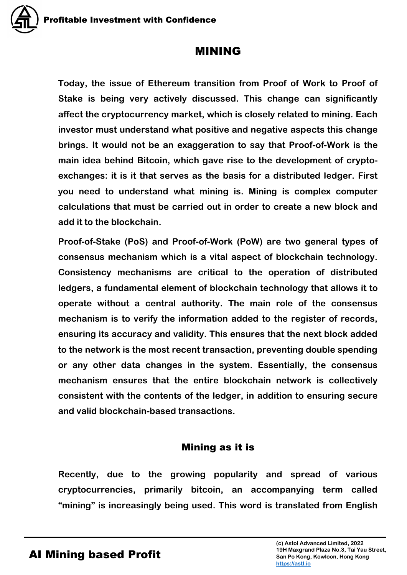# MINING

**Today, the issue of Ethereum transition from Proof of Work to Proof of Stake is being very actively discussed. This change can significantly affect the cryptocurrency market, which is closely related to mining. Each investor must understand what positive and negative aspects this change brings. It would not be an exaggeration to say that Proof-of-Work is the main idea behind Bitcoin, which gave rise to the development of cryptoexchanges: it is it that serves as the basis for a distributed ledger. First you need to understand what mining is. Mining is complex computer calculations that must be carried out in order to create a new block and add it to the blockchain.**

**Proof-of-Stake (PoS) and Proof-of-Work (PoW) are two general types of consensus mechanism which is a vital aspect of blockchain technology. Consistency mechanisms are critical to the operation of distributed ledgers, a fundamental element of blockchain technology that allows it to operate without a central authority. The main role of the consensus mechanism is to verify the information added to the register of records, ensuring its accuracy and validity. This ensures that the next block added to the network is the most recent transaction, preventing double spending or any other data changes in the system. Essentially, the consensus mechanism ensures that the entire blockchain network is collectively consistent with the contents of the ledger, in addition to ensuring secure and valid blockchain-based transactions.**

# Mining as it is

**Recently, due to the growing popularity and spread of various cryptocurrencies, primarily bitcoin, an accompanying term called "mining" is increasingly being used. This word is translated from English**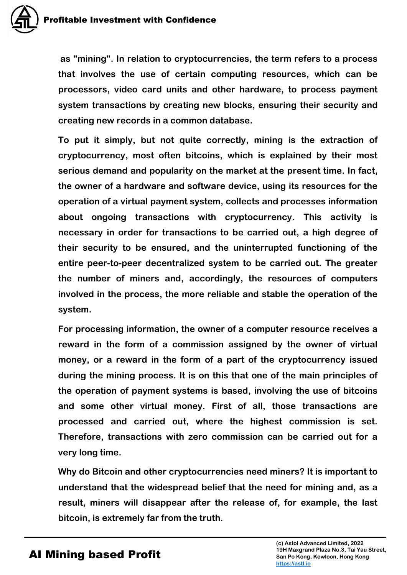

**as "mining". In relation to cryptocurrencies, the term refers to a process that involves the use of certain computing resources, which can be processors, video card units and other hardware, to process payment system transactions by creating new blocks, ensuring their security and creating new records in a common database.**

**To put it simply, but not quite correctly, mining is the extraction of cryptocurrency, most often bitcoins, which is explained by their most serious demand and popularity on the market at the present time. In fact, the owner of a hardware and software device, using its resources for the operation of a virtual payment system, collects and processes information about ongoing transactions with cryptocurrency. This activity is necessary in order for transactions to be carried out, a high degree of their security to be ensured, and the uninterrupted functioning of the entire peer-to-peer decentralized system to be carried out. The greater the number of miners and, accordingly, the resources of computers involved in the process, the more reliable and stable the operation of the system.**

**For processing information, the owner of a computer resource receives a reward in the form of a commission assigned by the owner of virtual money, or a reward in the form of a part of the cryptocurrency issued during the mining process. It is on this that one of the main principles of the operation of payment systems is based, involving the use of bitcoins and some other virtual money. First of all, those transactions are processed and carried out, where the highest commission is set. Therefore, transactions with zero commission can be carried out for a very long time.**

**Why do Bitcoin and other cryptocurrencies need miners? It is important to understand that the widespread belief that the need for mining and, as a result, miners will disappear after the release of, for example, the last bitcoin, is extremely far from the truth.**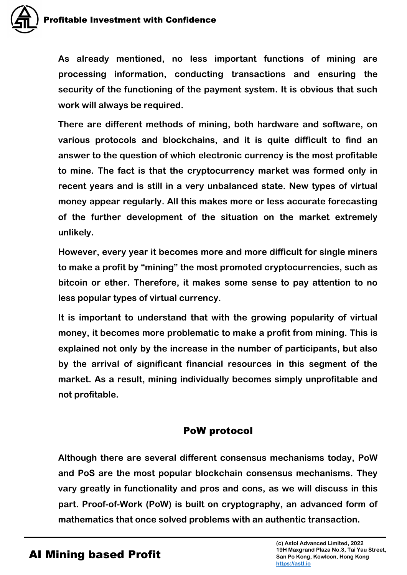**As already mentioned, no less important functions of mining are processing information, conducting transactions and ensuring the security of the functioning of the payment system. It is obvious that such work will always be required.**

**There are different methods of mining, both hardware and software, on various protocols and blockchains, and it is quite difficult to find an answer to the question of which electronic currency is the most profitable to mine. The fact is that the cryptocurrency market was formed only in recent years and is still in a very unbalanced state. New types of virtual money appear regularly. All this makes more or less accurate forecasting of the further development of the situation on the market extremely unlikely.**

**However, every year it becomes more and more difficult for single miners to make a profit by "mining" the most promoted cryptocurrencies, such as bitcoin or ether. Therefore, it makes some sense to pay attention to no less popular types of virtual currency.**

**It is important to understand that with the growing popularity of virtual money, it becomes more problematic to make a profit from mining. This is explained not only by the increase in the number of participants, but also by the arrival of significant financial resources in this segment of the market. As a result, mining individually becomes simply unprofitable and not profitable.**

# PoW protocol

**Although there are several different consensus mechanisms today, PoW and PoS are the most popular blockchain consensus mechanisms. They vary greatly in functionality and pros and cons, as we will discuss in this part. Proof-of-Work (PoW) is built on cryptography, an advanced form of mathematics that once solved problems with an authentic transaction.**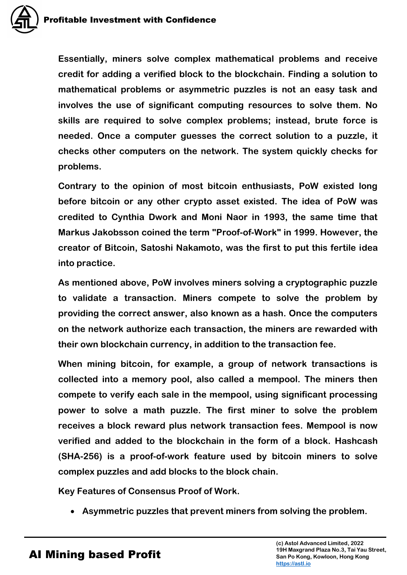**Essentially, miners solve complex mathematical problems and receive credit for adding a verified block to the blockchain. Finding a solution to mathematical problems or asymmetric puzzles is not an easy task and involves the use of significant computing resources to solve them. No skills are required to solve complex problems; instead, brute force is needed. Once a computer guesses the correct solution to a puzzle, it checks other computers on the network. The system quickly checks for problems.** 

**Contrary to the opinion of most bitcoin enthusiasts, PoW existed long before bitcoin or any other crypto asset existed. The idea of PoW was credited to Cynthia Dwork and Moni Naor in 1993, the same time that Markus Jakobsson coined the term "Proof-of-Work" in 1999. However, the creator of Bitcoin, Satoshi Nakamoto, was the first to put this fertile idea into practice.** 

**As mentioned above, PoW involves miners solving a cryptographic puzzle to validate a transaction. Miners compete to solve the problem by providing the correct answer, also known as a hash. Once the computers on the network authorize each transaction, the miners are rewarded with their own blockchain currency, in addition to the transaction fee.** 

**When mining bitcoin, for example, a group of network transactions is collected into a memory pool, also called a mempool. The miners then compete to verify each sale in the mempool, using significant processing power to solve a math puzzle. The first miner to solve the problem receives a block reward plus network transaction fees. Mempool is now verified and added to the blockchain in the form of a block. Hashcash (SHA-256) is a proof-of-work feature used by bitcoin miners to solve complex puzzles and add blocks to the block chain.** 

**Key Features of Consensus Proof of Work.**

**Asymmetric puzzles that prevent miners from solving the problem.**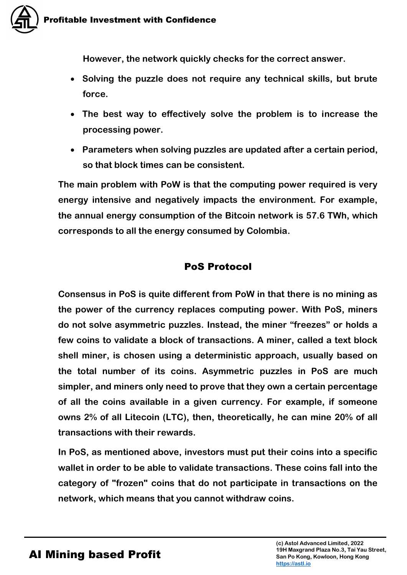

**However, the network quickly checks for the correct answer.** 

- **Solving the puzzle does not require any technical skills, but brute force.**
- **The best way to effectively solve the problem is to increase the processing power.**
- **Parameters when solving puzzles are updated after a certain period, so that block times can be consistent.**

**The main problem with PoW is that the computing power required is very energy intensive and negatively impacts the environment. For example, the annual energy consumption of the Bitcoin network is 57.6 TWh, which corresponds to all the energy consumed by Colombia.** 

# PoS Protocol

**Consensus in PoS is quite different from PoW in that there is no mining as the power of the currency replaces computing power. With PoS, miners do not solve asymmetric puzzles. Instead, the miner "freezes" or holds a few coins to validate a block of transactions. A miner, called a text block shell miner, is chosen using a deterministic approach, usually based on the total number of its coins. Asymmetric puzzles in PoS are much simpler, and miners only need to prove that they own a certain percentage of all the coins available in a given currency. For example, if someone owns 2% of all Litecoin (LTC), then, theoretically, he can mine 20% of all transactions with their rewards.**

**In PoS, as mentioned above, investors must put their coins into a specific wallet in order to be able to validate transactions. These coins fall into the category of "frozen" coins that do not participate in transactions on the network, which means that you cannot withdraw coins.**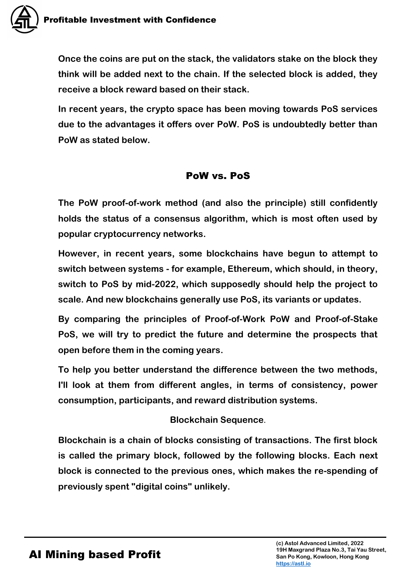**Once the coins are put on the stack, the validators stake on the block they think will be added next to the chain. If the selected block is added, they receive a block reward based on their stack.**

**In recent years, the crypto space has been moving towards PoS services due to the advantages it offers over PoW. PoS is undoubtedly better than PoW as stated below.**

## PoW vs. PoS

**The PoW proof-of-work method (and also the principle) still confidently holds the status of a consensus algorithm, which is most often used by popular cryptocurrency networks.** 

**However, in recent years, some blockchains have begun to attempt to switch between systems - for example, Ethereum, which should, in theory, switch to PoS by mid-2022, which supposedly should help the project to scale. And new blockchains generally use PoS, its variants or updates.** 

**By comparing the principles of Proof-of-Work PoW and Proof-of-Stake PoS, we will try to predict the future and determine the prospects that open before them in the coming years.**

**To help you better understand the difference between the two methods, I'll look at them from different angles, in terms of consistency, power consumption, participants, and reward distribution systems.** 

#### **Blockchain Sequence**.

**Blockchain is a chain of blocks consisting of transactions. The first block is called the primary block, followed by the following blocks. Each next block is connected to the previous ones, which makes the re-spending of previously spent "digital coins" unlikely.**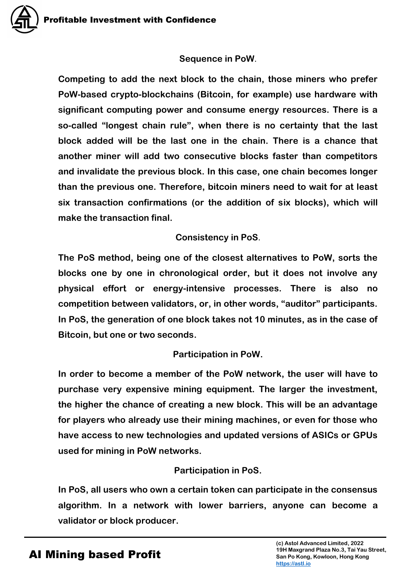#### **Sequence in PoW**.

**Competing to add the next block to the chain, those miners who prefer PoW-based crypto-blockchains (Bitcoin, for example) use hardware with significant computing power and consume energy resources. There is a so-called "longest chain rule", when there is no certainty that the last block added will be the last one in the chain. There is a chance that another miner will add two consecutive blocks faster than competitors and invalidate the previous block. In this case, one chain becomes longer than the previous one. Therefore, bitcoin miners need to wait for at least six transaction confirmations (or the addition of six blocks), which will make the transaction final.** 

#### **Consistency in PoS**.

**The PoS method, being one of the closest alternatives to PoW, sorts the blocks one by one in chronological order, but it does not involve any physical effort or energy-intensive processes. There is also no competition between validators, or, in other words, "auditor" participants. In PoS, the generation of one block takes not 10 minutes, as in the case of Bitcoin, but one or two seconds.**

#### **Participation in PoW.**

**In order to become a member of the PoW network, the user will have to purchase very expensive mining equipment. The larger the investment, the higher the chance of creating a new block. This will be an advantage for players who already use their mining machines, or even for those who have access to new technologies and updated versions of ASICs or GPUs used for mining in PoW networks.** 

#### **Participation in PoS.**

**In PoS, all users who own a certain token can participate in the consensus algorithm. In a network with lower barriers, anyone can become a validator or block producer.**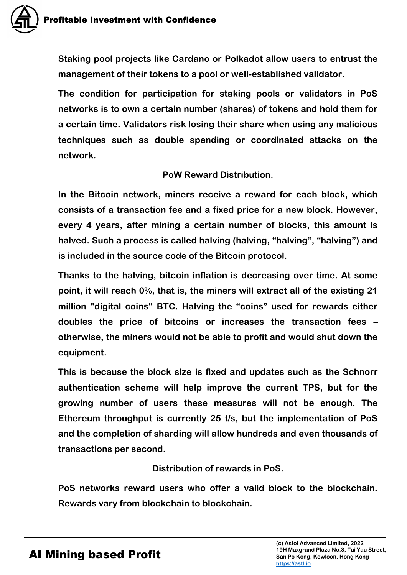**Staking pool projects like Cardano or Polkadot allow users to entrust the management of their tokens to a pool or well-established validator.** 

**The condition for participation for staking pools or validators in PoS networks is to own a certain number (shares) of tokens and hold them for a certain time. Validators risk losing their share when using any malicious techniques such as double spending or coordinated attacks on the network.**

#### **PoW Reward Distribution.**

**In the Bitcoin network, miners receive a reward for each block, which consists of a transaction fee and a fixed price for a new block. However, every 4 years, after mining a certain number of blocks, this amount is halved. Such a process is called halving (halving, "halving", "halving") and is included in the source code of the Bitcoin protocol.** 

**Thanks to the halving, bitcoin inflation is decreasing over time. At some point, it will reach 0%, that is, the miners will extract all of the existing 21 million "digital coins" BTC. Halving the "coins" used for rewards either doubles the price of bitcoins or increases the transaction fees – otherwise, the miners would not be able to profit and would shut down the equipment.** 

**This is because the block size is fixed and updates such as the Schnorr authentication scheme will help improve the current TPS, but for the growing number of users these measures will not be enough. The Ethereum throughput is currently 25 t/s, but the implementation of PoS and the completion of sharding will allow hundreds and even thousands of transactions per second.** 

## **Distribution of rewards in PoS.**

**PoS networks reward users who offer a valid block to the blockchain. Rewards vary from blockchain to blockchain.**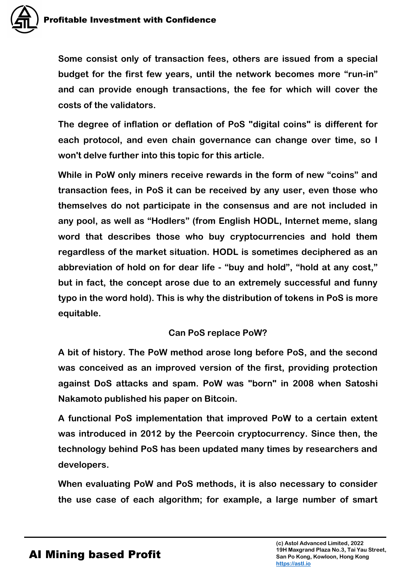**Some consist only of transaction fees, others are issued from a special budget for the first few years, until the network becomes more "run-in" and can provide enough transactions, the fee for which will cover the costs of the validators.** 

**The degree of inflation or deflation of PoS "digital coins" is different for each protocol, and even chain governance can change over time, so I won't delve further into this topic for this article.** 

**While in PoW only miners receive rewards in the form of new "coins" and transaction fees, in PoS it can be received by any user, even those who themselves do not participate in the consensus and are not included in any pool, as well as "Hodlers" (from English HODL, Internet meme, slang word that describes those who buy cryptocurrencies and hold them regardless of the market situation. HODL is sometimes deciphered as an abbreviation of hold on for dear life - "buy and hold", "hold at any cost," but in fact, the concept arose due to an extremely successful and funny typo in the word hold). This is why the distribution of tokens in PoS is more equitable.**

#### **Can PoS replace PoW?**

**A bit of history. The PoW method arose long before PoS, and the second was conceived as an improved version of the first, providing protection against DoS attacks and spam. PoW was "born" in 2008 when Satoshi Nakamoto published his paper on Bitcoin.** 

**A functional PoS implementation that improved PoW to a certain extent was introduced in 2012 by the Peercoin cryptocurrency. Since then, the technology behind PoS has been updated many times by researchers and developers.** 

**When evaluating PoW and PoS methods, it is also necessary to consider the use case of each algorithm; for example, a large number of smart**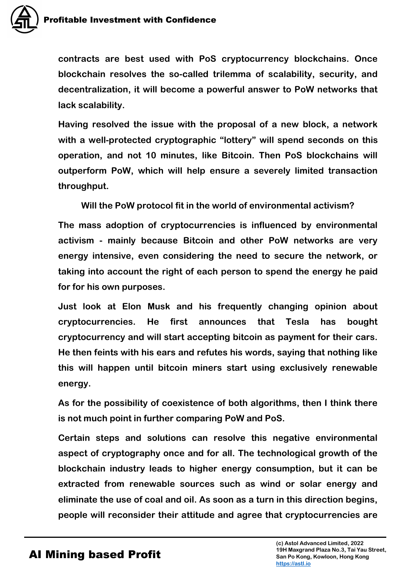

**contracts are best used with PoS cryptocurrency blockchains. Once blockchain resolves the so-called trilemma of scalability, security, and decentralization, it will become a powerful answer to PoW networks that lack scalability.** 

**Having resolved the issue with the proposal of a new block, a network with a well-protected cryptographic "lottery" will spend seconds on this operation, and not 10 minutes, like Bitcoin. Then PoS blockchains will outperform PoW, which will help ensure a severely limited transaction throughput.**

**Will the PoW protocol fit in the world of environmental activism?**

**The mass adoption of cryptocurrencies is influenced by environmental activism - mainly because Bitcoin and other PoW networks are very energy intensive, even considering the need to secure the network, or taking into account the right of each person to spend the energy he paid for for his own purposes.**

**Just look at Elon Musk and his frequently changing opinion about cryptocurrencies. He first announces that Tesla has bought cryptocurrency and will start accepting bitcoin as payment for their cars. He then feints with his ears and refutes his words, saying that nothing like this will happen until bitcoin miners start using exclusively renewable energy.**

**As for the possibility of coexistence of both algorithms, then I think there is not much point in further comparing PoW and PoS.**

**Certain steps and solutions can resolve this negative environmental aspect of cryptography once and for all. The technological growth of the blockchain industry leads to higher energy consumption, but it can be extracted from renewable sources such as wind or solar energy and eliminate the use of coal and oil. As soon as a turn in this direction begins, people will reconsider their attitude and agree that cryptocurrencies are**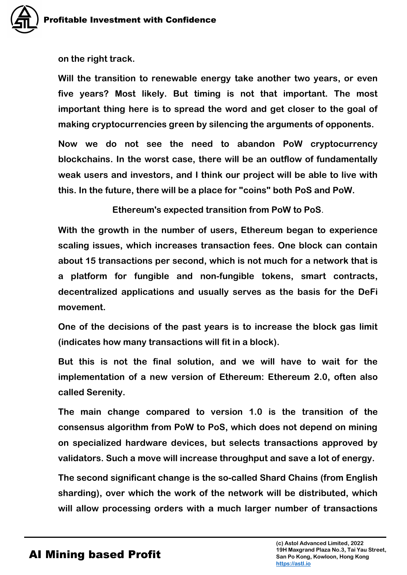**on the right track.**

**Will the transition to renewable energy take another two years, or even five years? Most likely. But timing is not that important. The most important thing here is to spread the word and get closer to the goal of making cryptocurrencies green by silencing the arguments of opponents.**

**Now we do not see the need to abandon PoW cryptocurrency blockchains. In the worst case, there will be an outflow of fundamentally weak users and investors, and I think our project will be able to live with this. In the future, there will be a place for "coins" both PoS and PoW.**

**Ethereum's expected transition from PoW to PoS**.

**With the growth in the number of users, Ethereum began to experience scaling issues, which increases transaction fees. One block can contain about 15 transactions per second, which is not much for a network that is a platform for fungible and non-fungible tokens, smart contracts, decentralized applications and usually serves as the basis for the DeFi movement.**

**One of the decisions of the past years is to increase the block gas limit (indicates how many transactions will fit in a block).**

**But this is not the final solution, and we will have to wait for the implementation of a new version of Ethereum: Ethereum 2.0, often also called Serenity.**

**The main change compared to version 1.0 is the transition of the consensus algorithm from PoW to PoS, which does not depend on mining on specialized hardware devices, but selects transactions approved by validators. Such a move will increase throughput and save a lot of energy.**

**The second significant change is the so-called Shard Chains (from English sharding), over which the work of the network will be distributed, which will allow processing orders with a much larger number of transactions**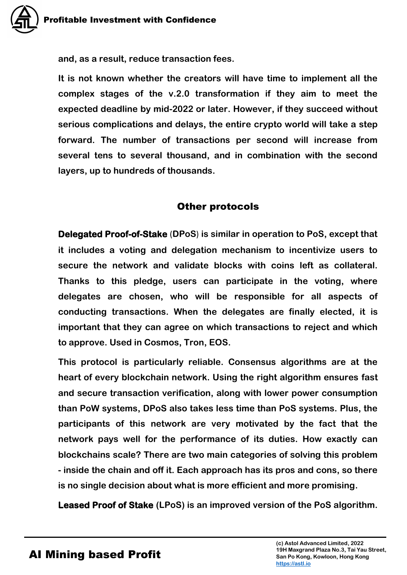**and, as a result, reduce transaction fees.**

**It is not known whether the creators will have time to implement all the complex stages of the v.2.0 transformation if they aim to meet the expected deadline by mid-2022 or later. However, if they succeed without serious complications and delays, the entire crypto world will take a step forward. The number of transactions per second will increase from several tens to several thousand, and in combination with the second layers, up to hundreds of thousands.**

## Other protocols

**Delegated Proof-of-Stake** (**DPoS**) **is similar in operation to PoS, except that it includes a voting and delegation mechanism to incentivize users to secure the network and validate blocks with coins left as collateral. Thanks to this pledge, users can participate in the voting, where delegates are chosen, who will be responsible for all aspects of conducting transactions. When the delegates are finally elected, it is important that they can agree on which transactions to reject and which to approve. Used in Cosmos, Tron, EOS.** 

**This protocol is particularly reliable. Consensus algorithms are at the heart of every blockchain network. Using the right algorithm ensures fast and secure transaction verification, along with lower power consumption than PoW systems, DPoS also takes less time than PoS systems. Plus, the participants of this network are very motivated by the fact that the network pays well for the performance of its duties. How exactly can blockchains scale? There are two main categories of solving this problem - inside the chain and off it. Each approach has its pros and cons, so there is no single decision about what is more efficient and more promising.**

**Leased Proof of Stake (LPoS) is an improved version of the PoS algorithm.**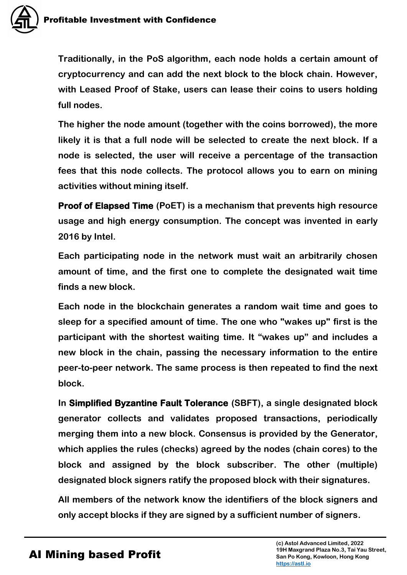

**Traditionally, in the PoS algorithm, each node holds a certain amount of cryptocurrency and can add the next block to the block chain. However, with Leased Proof of Stake, users can lease their coins to users holding full nodes.** 

**The higher the node amount (together with the coins borrowed), the more likely it is that a full node will be selected to create the next block. If a node is selected, the user will receive a percentage of the transaction fees that this node collects. The protocol allows you to earn on mining activities without mining itself.**

**Proof of Elapsed Time (PoET) is a mechanism that prevents high resource usage and high energy consumption. The concept was invented in early 2016 by Intel.** 

**Each participating node in the network must wait an arbitrarily chosen amount of time, and the first one to complete the designated wait time finds a new block.** 

**Each node in the blockchain generates a random wait time and goes to sleep for a specified amount of time. The one who "wakes up" first is the participant with the shortest waiting time. It "wakes up" and includes a new block in the chain, passing the necessary information to the entire peer-to-peer network. The same process is then repeated to find the next block.**

**In Simplified Byzantine Fault Tolerance (SBFT), a single designated block generator collects and validates proposed transactions, periodically merging them into a new block. Consensus is provided by the Generator, which applies the rules (checks) agreed by the nodes (chain cores) to the block and assigned by the block subscriber. The other (multiple) designated block signers ratify the proposed block with their signatures.**

**All members of the network know the identifiers of the block signers and only accept blocks if they are signed by a sufficient number of signers.**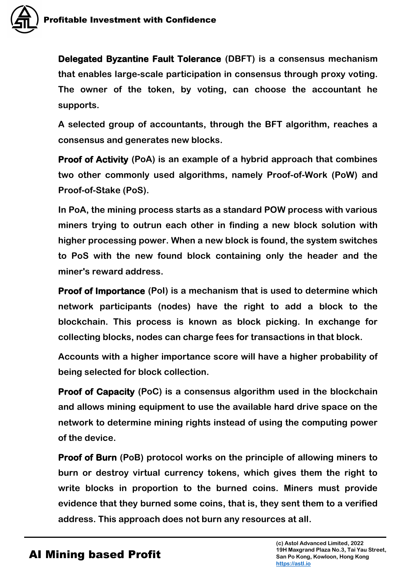

**Delegated Byzantine Fault Tolerance (DBFT) is a consensus mechanism that enables large-scale participation in consensus through proxy voting. The owner of the token, by voting, can choose the accountant he supports.** 

**A selected group of accountants, through the BFT algorithm, reaches a consensus and generates new blocks.**

**Proof of Activity (PoA) is an example of a hybrid approach that combines two other commonly used algorithms, namely Proof-of-Work (PoW) and Proof-of-Stake (PoS).** 

**In PoA, the mining process starts as a standard POW process with various miners trying to outrun each other in finding a new block solution with higher processing power. When a new block is found, the system switches to PoS with the new found block containing only the header and the miner's reward address.**

**Proof of Importance (PoI) is a mechanism that is used to determine which network participants (nodes) have the right to add a block to the blockchain. This process is known as block picking. In exchange for collecting blocks, nodes can charge fees for transactions in that block.**

**Accounts with a higher importance score will have a higher probability of being selected for block collection.**

**Proof of Capacity (PoC) is a consensus algorithm used in the blockchain and allows mining equipment to use the available hard drive space on the network to determine mining rights instead of using the computing power of the device.**

**Proof of Burn (PoB) protocol works on the principle of allowing miners to burn or destroy virtual currency tokens, which gives them the right to write blocks in proportion to the burned coins. Miners must provide evidence that they burned some coins, that is, they sent them to a verified address. This approach does not burn any resources at all.**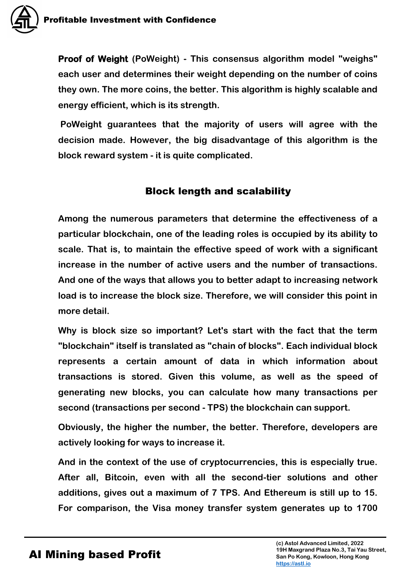**Proof of Weight (PoWeight) - This consensus algorithm model "weighs" each user and determines their weight depending on the number of coins they own. The more coins, the better. This algorithm is highly scalable and energy efficient, which is its strength.**

**PoWeight guarantees that the majority of users will agree with the decision made. However, the big disadvantage of this algorithm is the block reward system - it is quite complicated.** 

# Block length and scalability

**Among the numerous parameters that determine the effectiveness of a particular blockchain, one of the leading roles is occupied by its ability to scale. That is, to maintain the effective speed of work with a significant increase in the number of active users and the number of transactions. And one of the ways that allows you to better adapt to increasing network load is to increase the block size. Therefore, we will consider this point in more detail.**

**Why is block size so important? Let's start with the fact that the term "blockchain" itself is translated as "chain of blocks". Each individual block represents a certain amount of data in which information about transactions is stored. Given this volume, as well as the speed of generating new blocks, you can calculate how many transactions per second (transactions per second - TPS) the blockchain can support.** 

**Obviously, the higher the number, the better. Therefore, developers are actively looking for ways to increase it.**

**And in the context of the use of cryptocurrencies, this is especially true. After all, Bitcoin, even with all the second-tier solutions and other additions, gives out a maximum of 7 TPS. And Ethereum is still up to 15. For comparison, the Visa money transfer system generates up to 1700**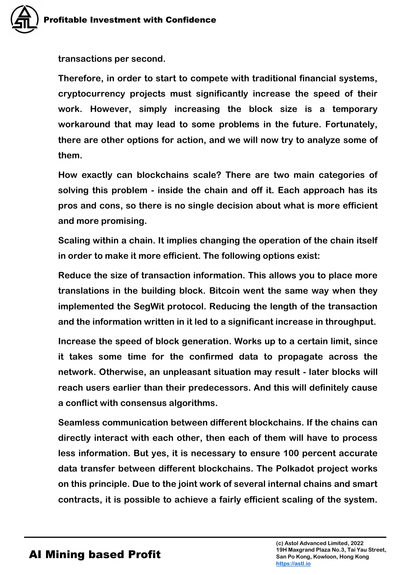**transactions per second.** 

**Therefore, in order to start to compete with traditional financial systems, cryptocurrency projects must significantly increase the speed of their work. However, simply increasing the block size is a temporary workaround that may lead to some problems in the future. Fortunately, there are other options for action, and we will now try to analyze some of them.**

**How exactly can blockchains scale? There are two main categories of solving this problem - inside the chain and off it. Each approach has its pros and cons, so there is no single decision about what is more efficient and more promising.**

**Scaling within a chain. It implies changing the operation of the chain itself in order to make it more efficient. The following options exist:**

**Reduce the size of transaction information. This allows you to place more translations in the building block. Bitcoin went the same way when they implemented the SegWit protocol. Reducing the length of the transaction and the information written in it led to a significant increase in throughput.**

**Increase the speed of block generation. Works up to a certain limit, since it takes some time for the confirmed data to propagate across the network. Otherwise, an unpleasant situation may result - later blocks will reach users earlier than their predecessors. And this will definitely cause a conflict with consensus algorithms.**

**Seamless communication between different blockchains. If the chains can directly interact with each other, then each of them will have to process less information. But yes, it is necessary to ensure 100 percent accurate data transfer between different blockchains. The Polkadot project works on this principle. Due to the joint work of several internal chains and smart contracts, it is possible to achieve a fairly efficient scaling of the system.**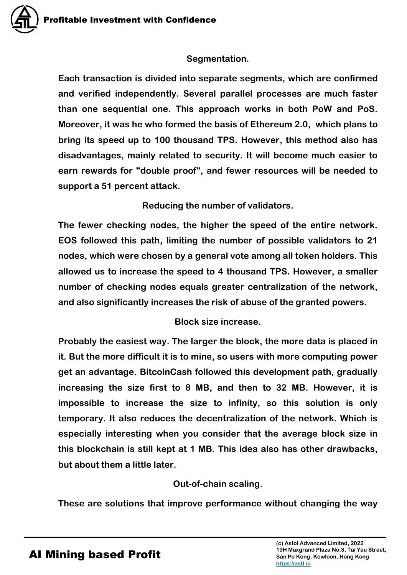#### **Segmentation.**

**Each transaction is divided into separate segments, which are confirmed and verified independently. Several parallel processes are much faster than one sequential one. This approach works in both PoW and PoS. Moreover, it was he who formed the basis of Ethereum 2.0, which plans to bring its speed up to 100 thousand TPS. However, this method also has disadvantages, mainly related to security. It will become much easier to earn rewards for "double proof", and fewer resources will be needed to support a 51 percent attack.**

**Reducing the number of validators.**

**The fewer checking nodes, the higher the speed of the entire network. EOS followed this path, limiting the number of possible validators to 21 nodes, which were chosen by a general vote among all token holders. This allowed us to increase the speed to 4 thousand TPS. However, a smaller number of checking nodes equals greater centralization of the network, and also significantly increases the risk of abuse of the granted powers.**

**Block size increase.**

**Probably the easiest way. The larger the block, the more data is placed in it. But the more difficult it is to mine, so users with more computing power get an advantage. BitcoinCash followed this development path, gradually increasing the size first to 8 MB, and then to 32 MB. However, it is impossible to increase the size to infinity, so this solution is only temporary. It also reduces the decentralization of the network. Which is especially interesting when you consider that the average block size in this blockchain is still kept at 1 MB. This idea also has other drawbacks, but about them a little later.**

**Out-of-chain scaling.**

**These are solutions that improve performance without changing the way**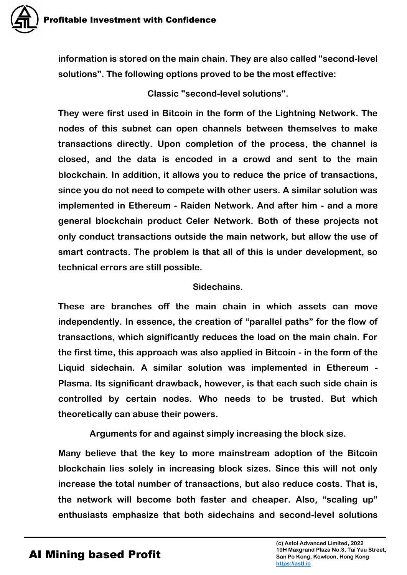**information is stored on the main chain. They are also called "second-level solutions". The following options proved to be the most effective:**

**Classic "second-level solutions".**

**They were first used in Bitcoin in the form of the Lightning Network. The nodes of this subnet can open channels between themselves to make transactions directly. Upon completion of the process, the channel is closed, and the data is encoded in a crowd and sent to the main blockchain. In addition, it allows you to reduce the price of transactions, since you do not need to compete with other users. A similar solution was implemented in Ethereum - Raiden Network. And after him - and a more general blockchain product Celer Network. Both of these projects not only conduct transactions outside the main network, but allow the use of smart contracts. The problem is that all of this is under development, so technical errors are still possible.**

#### **Sidechains.**

**These are branches off the main chain in which assets can move independently. In essence, the creation of "parallel paths" for the flow of transactions, which significantly reduces the load on the main chain. For the first time, this approach was also applied in Bitcoin - in the form of the Liquid sidechain. A similar solution was implemented in Ethereum - Plasma. Its significant drawback, however, is that each such side chain is controlled by certain nodes. Who needs to be trusted. But which theoretically can abuse their powers.**

**Arguments for and against simply increasing the block size.**

**Many believe that the key to more mainstream adoption of the Bitcoin blockchain lies solely in increasing block sizes. Since this will not only increase the total number of transactions, but also reduce costs. That is, the network will become both faster and cheaper. Also, "scaling up" enthusiasts emphasize that both sidechains and second-level solutions**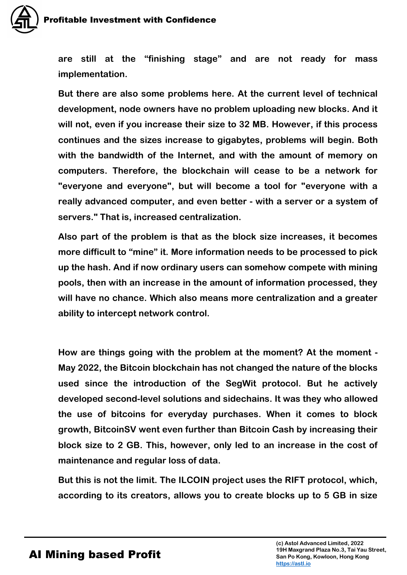

**are still at the "finishing stage" and are not ready for mass implementation.**

**But there are also some problems here. At the current level of technical development, node owners have no problem uploading new blocks. And it will not, even if you increase their size to 32 MB. However, if this process continues and the sizes increase to gigabytes, problems will begin. Both with the bandwidth of the Internet, and with the amount of memory on computers. Therefore, the blockchain will cease to be a network for "everyone and everyone", but will become a tool for "everyone with a really advanced computer, and even better - with a server or a system of servers." That is, increased centralization.**

**Also part of the problem is that as the block size increases, it becomes more difficult to "mine" it. More information needs to be processed to pick up the hash. And if now ordinary users can somehow compete with mining pools, then with an increase in the amount of information processed, they will have no chance. Which also means more centralization and a greater ability to intercept network control.**

**How are things going with the problem at the moment? At the moment - May 2022, the Bitcoin blockchain has not changed the nature of the blocks used since the introduction of the SegWit protocol. But he actively developed second-level solutions and sidechains. It was they who allowed the use of bitcoins for everyday purchases. When it comes to block growth, BitcoinSV went even further than Bitcoin Cash by increasing their block size to 2 GB. This, however, only led to an increase in the cost of maintenance and regular loss of data.**

**But this is not the limit. The ILCOIN project uses the RIFT protocol, which, according to its creators, allows you to create blocks up to 5 GB in size**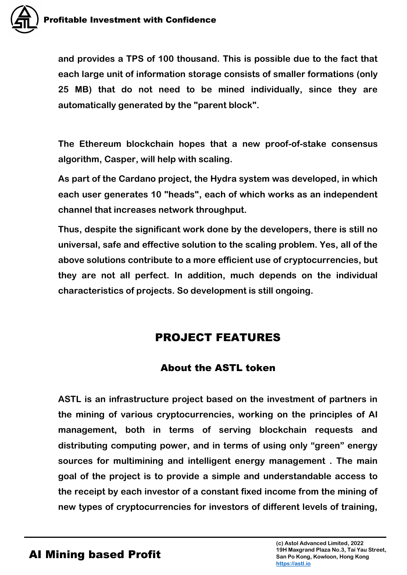

**and provides a TPS of 100 thousand. This is possible due to the fact that each large unit of information storage consists of smaller formations (only 25 MB) that do not need to be mined individually, since they are automatically generated by the "parent block".**

**The Ethereum blockchain hopes that a new proof-of-stake consensus algorithm, Casper, will help with scaling.**

**As part of the Cardano project, the Hydra system was developed, in which each user generates 10 "heads", each of which works as an independent channel that increases network throughput.**

**Thus, despite the significant work done by the developers, there is still no universal, safe and effective solution to the scaling problem. Yes, all of the above solutions contribute to a more efficient use of cryptocurrencies, but they are not all perfect. In addition, much depends on the individual characteristics of projects. So development is still ongoing.**

# PROJECT FEATURES

## About the ASTL token

**ASTL is an infrastructure project based on the investment of partners in the mining of various cryptocurrencies, working on the principles of AI management, both in terms of serving blockchain requests and distributing computing power, and in terms of using only "green" energy sources for multimining and intelligent energy management . The main goal of the project is to provide a simple and understandable access to the receipt by each investor of a constant fixed income from the mining of new types of cryptocurrencies for investors of different levels of training,**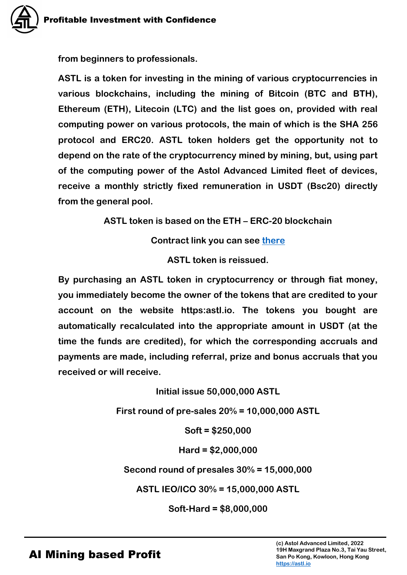**from beginners to professionals.**

**ASTL is a token for investing in the mining of various cryptocurrencies in various blockchains, including the mining of Bitcoin (BTC and BTH), Ethereum (ETH), Litecoin (LTC) and the list goes on, provided with real computing power on various protocols, the main of which is the SHA 256 protocol and ERC20. ASTL token holders get the opportunity not to depend on the rate of the cryptocurrency mined by mining, but, using part of the computing power of the Astol Advanced Limited fleet of devices, receive a monthly strictly fixed remuneration in USDT (Bsc20) directly from the general pool.**

**ASTL token is based on the ETH – ERC-20 blockchain**

**Contract link you can see [there](https://etherscan.io/token/0xed1036400c9B2b4b7cA59F6Ba2122f839A76Bd9A)**

**ASTL token is reissued.**

**By purchasing an ASTL token in cryptocurrency or through fiat money, you immediately become the owner of the tokens that are credited to your account on the website https:astl.io. The tokens you bought are automatically recalculated into the appropriate amount in USDT (at the time the funds are credited), for which the corresponding accruals and payments are made, including referral, prize and bonus accruals that you received or will receive.**

**Initial issue 50,000,000 ASTL**

**First round of pre-sales 20% = 10,000,000 ASTL**

**Soft = \$250,000**

**Hard = \$2,000,000**

**Second round of presales 30% = 15,000,000**

**ASTL IEO/ICO 30% = 15,000,000 ASTL**

**Soft-Hard = \$8,000,000**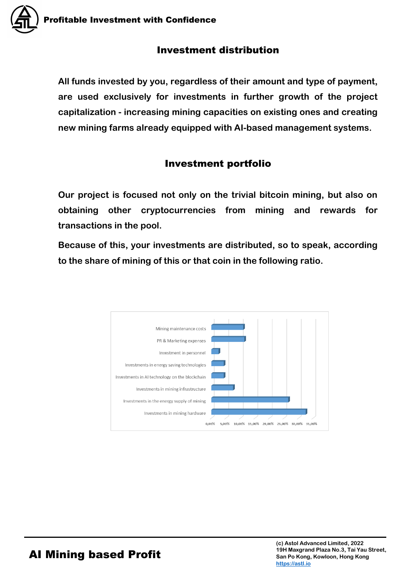## Investment distribution

**All funds invested by you, regardless of their amount and type of payment, are used exclusively for investments in further growth of the project capitalization - increasing mining capacities on existing ones and creating new mining farms already equipped with AI-based management systems.**

# Investment portfolio

**Our project is focused not only on the trivial bitcoin mining, but also on obtaining other cryptocurrencies from mining and rewards for transactions in the pool.**

**Because of this, your investments are distributed, so to speak, according to the share of mining of this or that coin in the following ratio.**

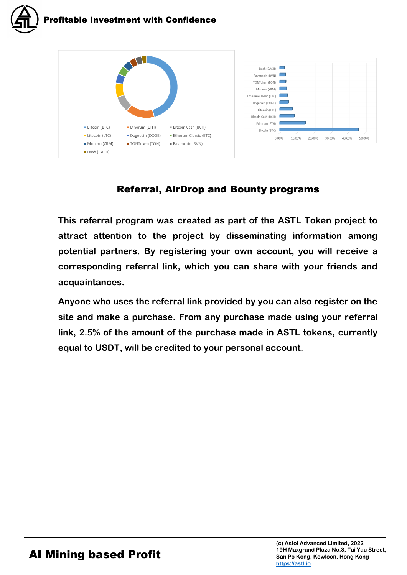



# Referral, AirDrop and Bounty programs

**This referral program was created as part of the ASTL Token project to attract attention to the project by disseminating information among potential partners. By registering your own account, you will receive a corresponding referral link, which you can share with your friends and acquaintances.**

**Anyone who uses the referral link provided by you can also register on the site and make a purchase. From any purchase made using your referral link, 2.5% of the amount of the purchase made in ASTL tokens, currently equal to USDT, will be credited to your personal account.**

30,00%

40,00%

50,00%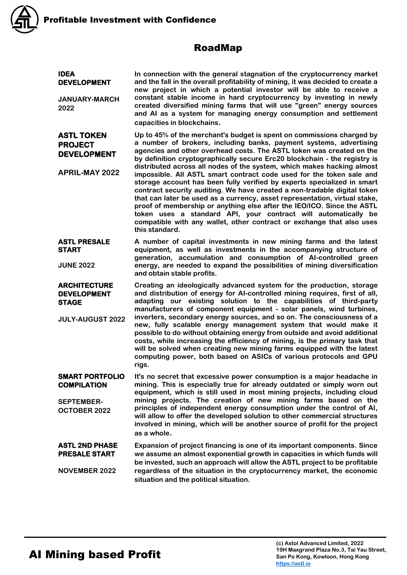

#### RoadMap

**IDEA DEVELOPMENT** 

**JANUARY-MARCH 2022**

#### **ASTL TOKEN PROJECT DEVELOPMENT**

**APRIL-MAY 2022**

**STAGE** 

**In connection with the general stagnation of the cryptocurrency market and the fall in the overall profitability of mining, it was decided to create a new project in which a potential investor will be able to receive a constant stable income in hard cryptocurrency by investing in newly created diversified mining farms that will use "green" energy sources and AI as a system for managing energy consumption and settlement capacities in blockchains.**

**Up to 45% of the merchant's budget is spent on commissions charged by a number of brokers, including banks, payment systems, advertising agencies and other overhead costs. The ASTL token was created on the by definition cryptographically secure Erc20 blockchain - the registry is distributed across all nodes of the system, which makes hacking almost impossible. All ASTL smart contract code used for the token sale and storage account has been fully verified by experts specialized in smart contract security auditing. We have created a non-tradable digital token that can later be used as a currency, asset representation, virtual stake, proof of membership or anything else after the IEO/ICO. Since the ASTL token uses a standard API, your contract will automatically be compatible with any wallet, other contract or exchange that also uses this standard.**

**ASTL PRESALE START JUNE 2022 A number of capital investments in new mining farms and the latest equipment, as well as investments in the accompanying structure of generation, accumulation and consumption of AI-controlled green energy, are needed to expand the possibilities of mining diversification and obtain stable profits.**

**ARCHITECTURE DEVELOPMENT JULY-AUGUST 2022 Creating an ideologically advanced system for the production, storage and distribution of energy for AI-controlled mining requires, first of all, adapting our existing solution to the capabilities of third-party manufacturers of component equipment - solar panels, wind turbines, inverters, secondary energy sources, and so on. The consciousness of a new, fully scalable energy management system that would make it possible to do without obtaining energy from outside and avoid additional costs, while increasing the efficiency of mining, is the primary task that will be solved when creating new mining farms equipped with the latest computing power, both based on ASICs of various protocols and GPU rigs.**

**SMART PORTFOLIO COMPILATION SEPTEMBER-OCTOBER 2022 It's no secret that excessive power consumption is a major headache in mining. This is especially true for already outdated or simply worn out equipment, which is still used in most mining projects, including cloud mining projects. The creation of new mining farms based on the principles of independent energy consumption under the control of AI, will allow to offer the developed solution to other commercial structures involved in mining, which will be another source of profit for the project as a whole.**

**ASTL 2ND PHASE PRESALE START NOVEMBER 2022 Expansion of project financing is one of its important components. Since we assume an almost exponential growth in capacities in which funds will be invested, such an approach will allow the ASTL project to be profitable regardless of the situation in the cryptocurrency market, the economic situation and the political situation.**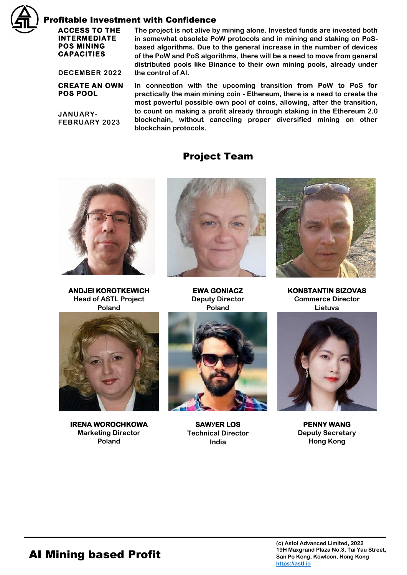

#### Profitable Investment with Confidence

#### **ACCESS TO THE INTERMEDIATE POS MINING CAPACITIES**

**The project is not alive by mining alone. Invested funds are invested both in somewhat obsolete PoW protocols and in mining and staking on PoSbased algorithms. Due to the general increase in the number of devices of the PoW and PoS algorithms, there will be a need to move from general distributed pools like Binance to their own mining pools, already under the control of AI.**

**DECEMBER 2022**

**CREATE AN OWN POS POOL** 

**JANUARY-FEBRUARY 2023** **In connection with the upcoming transition from PoW to PoS for practically the main mining coin - Ethereum, there is a need to create the most powerful possible own pool of coins, allowing, after the transition, to count on making a profit already through staking in the Ethereum 2.0 blockchain, without canceling proper diversified mining on other blockchain protocols.**

#### Project Team



**ANDJEI KOROTKEWICH Head of ASTL Project Poland**



**IRENA WOROCHKOWA Marketing Director Poland**



**EWA GONIACZ Deputy Director Poland**



**SAWУER LOS Technical Director India**



**KONSTANTIN SIZOVAS Commerce Director Lietuva**



**PENNY WANG Deputy Secretary Hong Kong**